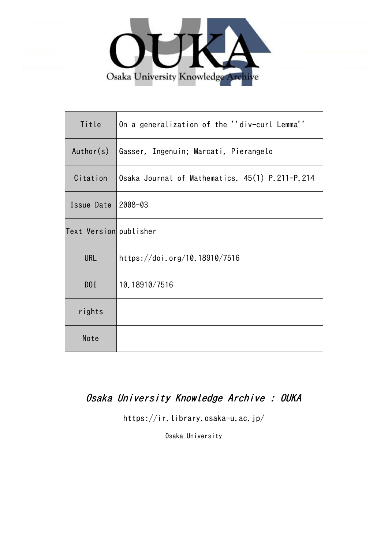

| Title                  | On a generalization of the ''div-curl Lemma''   |
|------------------------|-------------------------------------------------|
| Author(s)              | Gasser, Ingenuin; Marcati, Pierangelo           |
| Citation               | Osaka Journal of Mathematics. 45(1) P.211-P.214 |
| Issue Date             | 2008-03                                         |
| Text Version publisher |                                                 |
| URL                    | https://doi.org/10.18910/7516                   |
| D0I                    | 10.18910/7516                                   |
| rights                 |                                                 |
| Note                   |                                                 |

# Osaka University Knowledge Archive : OUKA

https://ir.library.osaka-u.ac.jp/

Osaka University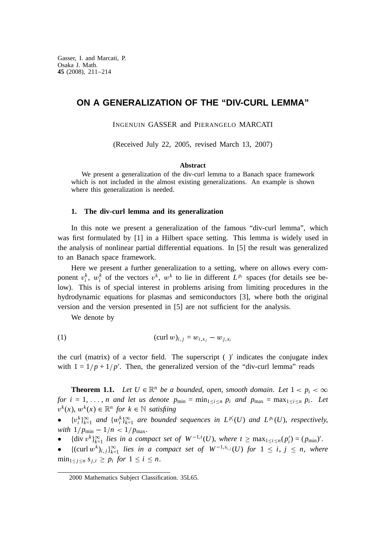## **ON A GENERALIZATION OF THE "DIV-CURL LEMMA"**

INGENUIN GASSER and PIERANGELO MARCATI

(Received July 22, 2005, revised March 13, 2007)

#### **Abstract**

We present a generalization of the div-curl lemma to a Banach space framework which is not included in the almost existing generalizations. An example is shown where this generalization is needed.

### **1. The div-curl lemma and its generalization**

In this note we present a generalization of the famous "div-curl lemma", which was first formulated by [1] in a Hilbert space setting. This lemma is widely used in the analysis of nonlinear partial differential equations. In [5] the result was generalized to an Banach space framework.

Here we present a further generalization to a setting, where on allows every component  $v_i^k$ ,  $w_i^k$  of the vectors  $v^k$ ,  $w^k$  to lie in different  $L^{p_i}$  spaces (for details see below). This is of special interest in problems arising from limiting procedures in the hydrodynamic equations for plasmas and semiconductors [3], where both the original version and the version presented in [5] are not sufficient for the analysis.

We denote by

(1) 
$$
(\text{curl } w)_{i,j} = w_{i,x_j} - w_{j,x_i}
$$

the curl (matrix) of a vector field. The superscript  $(y')$  indicates the conjugate index with  $1 = 1/p + 1/p'$ . Then, the generalized version of the "div-curl lemma" reads

**Theorem 1.1.** *Let*  $U \in \mathbb{R}^n$  *be a bounded, open, smooth domain. Let*  $1 < p_i < \infty$ *for*  $i = 1, \ldots, n$  and let us denote  $p_{\min} = \min_{1 \leq i \leq n} p_i$  and  $p_{\max} = \max_{1 \leq i \leq n} p_i$ . Let  $v^k(x)$ ,  $w^k(x)$  ∈  $\mathbb{R}^n$  *for*  $k$  ∈  $\mathbb N$  *satisfiing* 

•  $\{v_i^k\}_{k=1}^{\infty}$  *and*  $\{w_i^k\}_{k=1}^{\infty}$  *are bounded sequences in*  $L^{p_i}(U)$  *and*  $L^{p_i}(U)$ *, <i>respectively*, *with*  $1/p_{\min} - 1/n < 1/p_{\max}$ .

**•** {div  $v^k\}_{k=1}^{\infty}$  *lies in a compact set of*  $W^{-1,t}(U)$ , *where t* ≥ max<sub>1≤*i*≤*n*</sub>( $p'_i$ ) = ( $p_{\text{min}}$ )'.

●  ${(curl w<sup>k</sup>)<sub>i,j</sub>}<sub>k=1</sub><sup>∞</sup> lies in a compact set of W<sup>-1,s<sub>i,j</sub></sup>(U) for 1 ≤ i, j ≤ n, where$  $\min_{1 \leq j \leq n} s_{j,i} \geq p_i$  *for*  $1 \leq i \leq n$ .

<sup>2000</sup> Mathematics Subject Classification. 35L65.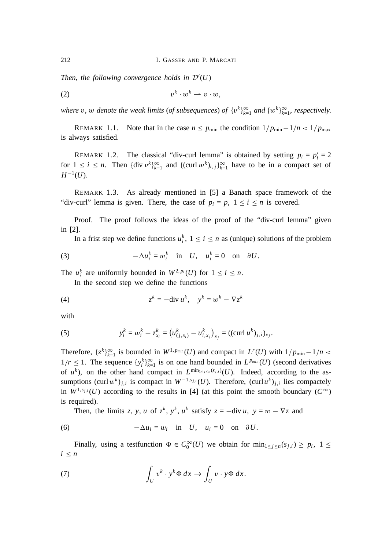*Then*, *the following convergence holds in* D′ (*U*)

$$
(2) \t\t\t vk \cdot wk \rightharpoonup v \cdot w,
$$

*where* v, w denote the weak limits (of subsequences) of  $\{v^k\}_{k=1}^{\infty}$  and  $\{w^k\}_{k=1}^{\infty}$ , respectively.

REMARK 1.1. Note that in the case  $n \le p_{\text{min}}$  the condition  $1/p_{\text{min}}-1/n < 1/p_{\text{max}}$ is always satisfied.

REMARK 1.2. The classical "div-curl lemma" is obtained by setting  $p_i = p'_i = 2$ for  $1 \le i \le n$ . Then  $\{\text{div } v^k\}_{k=1}^\infty$  and  $\{\text{curl } w^k\}_{i,j}\}_{k=1}^\infty$  have to be in a compact set of  $H^{-1}(U)$ .

REMARK 1.3. As already mentioned in [5] a Banach space framework of the "div-curl" lemma is given. There, the case of  $p_i = p$ ,  $1 \le i \le n$  is covered.

Proof. The proof follows the ideas of the proof of the "div-curl lemma" given in [2].

In a frist step we define functions  $u_i^k$ ,  $1 \le i \le n$  as (unique) solutions of the problem

(3) 
$$
-\Delta u_i^k = w_i^k \quad \text{in} \quad U, \quad u_i^k = 0 \quad \text{on} \quad \partial U.
$$

The  $u_i^k$  are uniformly bounded in  $W^{2,p_i}(U)$  for  $1 \le i \le n$ .

In the second step we define the functions

$$
(4) \t zk = -div uk, \t yk = wk - \nabla zk
$$

with

(5) 
$$
y_i^k = w_i^k - z_{x_i}^k = (u_{(j,x_i)}^k - u_{i,x_j}^k)_{x_j} = ((\text{curl } u^k)_{j,i})_{x_j}.
$$

Therefore,  $\{z^k\}_{k=1}^{\infty}$  is bounded in  $W^{1,p_{\min}}(U)$  and compact in  $L^r(U)$  with  $1/p_{\min}-1/n <$  $1/r \leq 1$ . The sequence  $\{y_i^k\}_{k=1}^\infty$  is on one hand bounded in  $L^{p_{min}}(U)$  (second derivatives of  $u^k$ ), on the other hand compact in  $L^{\min_{1 \leq j \leq n}(s_{j,i})}(U)$ . Indeed, according to the assumptions  $(\text{curl } w^k)_{j,i}$  is compact in  $W^{-1,s_{j,i}}(U)$ . Therefore,  $(\text{curl } u^k)_{j,i}$  lies compactely in  $W^{1,s_{j,i}}(U)$  according to the results in [4] (at this point the smooth boundary  $(C^{\infty})$ is required).

Then, the limits *z*, *y*, *u* of  $z^k$ ,  $y^k$ ,  $u^k$  satisfy  $z = -\text{div } u$ ,  $y = w - \nabla z$  and

(6) 
$$
-\Delta u_i = w_i \quad \text{in} \quad U, \quad u_i = 0 \quad \text{on} \quad \partial U.
$$

Finally, using a testfunction  $\Phi \in C_0^{\infty}(U)$  we obtain for  $\min_{1 \le j \le n} (s_{j,i}) \ge p_i$ ,  $1 \le$  $i \leq n$ 

(7) 
$$
\int_{U} v^{k} \cdot y^{k} \Phi \, dx \to \int_{U} v \cdot y \Phi \, dx.
$$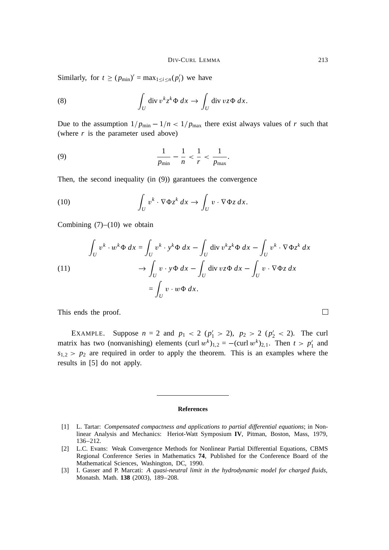Similarly, for  $t \ge (p_{\min})' = \max_{1 \le i \le n} (p'_i)$  we have

(8) 
$$
\int_{U} \operatorname{div} v^{k} z^{k} \Phi dx \to \int_{U} \operatorname{div} v z \Phi dx.
$$

Due to the assumption  $1/p_{\text{min}} - 1/n < 1/p_{\text{max}}$  there exist always values of *r* such that (where *r* is the parameter used above)

(9) 
$$
\frac{1}{p_{\min}} - \frac{1}{n} < \frac{1}{r} < \frac{1}{p_{\max}}.
$$

Then, the second inequality (in (9)) garantuees the convergence

(10) 
$$
\int_{U} v^{k} \cdot \nabla \Phi z^{k} dx \rightarrow \int_{U} v \cdot \nabla \Phi z dx.
$$

Combining  $(7)$ – $(10)$  we obtain

(11)  
\n
$$
\int_{U} v^{k} \cdot w^{k} \Phi \, dx = \int_{U} v^{k} \cdot y^{k} \Phi \, dx - \int_{U} \text{div } v^{k} z^{k} \Phi \, dx - \int_{U} v^{k} \cdot \nabla \Phi z^{k} \, dx
$$
\n
$$
\to \int_{U} v \cdot y \Phi \, dx - \int_{U} \text{div } v z \Phi \, dx - \int_{U} v \cdot \nabla \Phi z \, dx
$$
\n
$$
= \int_{U} v \cdot w \Phi \, dx.
$$

This ends the proof.

EXAMPLE. Suppose  $n = 2$  and  $p_1 < 2$  ( $p'_1 > 2$ ),  $p_2 > 2$  ( $p'_2 < 2$ ). The curl matrix has two (nonvanishing) elements  $(\text{curl } w^k)_{1,2} = -(\text{curl } w^k)_{2,1}$ . Then  $t > p'_1$  and  $s_{1,2} > p_2$  are required in order to apply the theorem. This is an examples where the results in [5] do not apply.

#### **References**

 $\Box$ 

<sup>[1]</sup> L. Tartar: *Compensated compactness and applications to partial differential equations*; in Nonlinear Analysis and Mechanics: Heriot-Watt Symposium **IV**, Pitman, Boston, Mass, 1979, 136–212.

<sup>[2]</sup> L.C. Evans: Weak Convergence Methods for Nonlinear Partial Differential Equations, CBMS Regional Conference Series in Mathematics **74**, Published for the Conference Board of the Mathematical Sciences, Washington, DC, 1990.

<sup>[3]</sup> I. Gasser and P. Marcati: *A quasi-neutral limit in the hydrodynamic model for charged fluids*, Monatsh. Math. **138** (2003), 189–208.